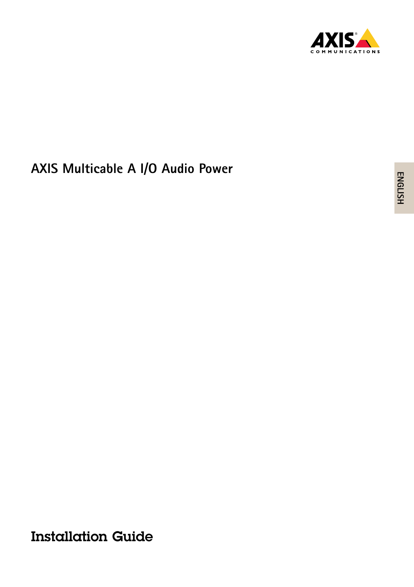

# **AXIS Multicable A I/O Audio Power**

Installation Guide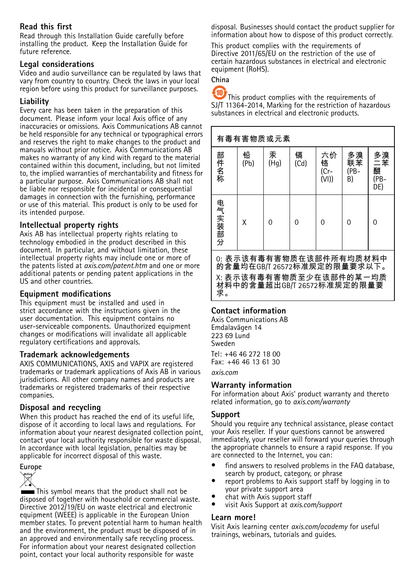#### **Read this first**

Read through this Installation Guide carefully before installing the product. Keep the Installation Guide for future reference.

#### **Legal considerations**

Video and audio surveillance can be regulated by laws that vary from country to country. Check the laws in your local region before using this product for surveillance purposes.

#### **Liability**

Every care has been taken in the preparation of this document. Please inform your local Axis office of any inaccuracies or omissions. Axis Communications AB cannot be held responsible for any technical or typographical errors and reserves the right to make changes to the product and manuals without prior notice. Axis Communications AB makes no warranty of any kind with regard to the material contained within this document, including, but not limited to, the implied warranties of merchantability and fitness for <sup>a</sup> particular purpose. Axis Communications AB shall not be liable nor responsible for incidental or consequential damages in connection with the furnishing, performance or use of this material. This product is only to be used for its intended purpose.

#### **Intellectual property rights**

Axis AB has intellectual property rights relating to technology embodied in the product described in this document. In particular, and without limitation, these intellectual property rights may include one or more of the patents listed at *axis.com/patent.htm* and one or more additional patents or pending patent applications in the US and other countries.

#### **Equipment modifications**

This equipment must be installed and used in strict accordance with the instructions given in the user documentation. This equipment contains no user-serviceable components. Unauthorized equipment changes or modifications will invalidate all applicable regulatory certifications and approvals.

#### **Trademark acknowledgements**

AXIS COMMUNICATIONS, AXIS and VAPIX are registered trademarks or trademark applications of Axis AB in various jurisdictions. All other company names and products are trademarks or registered trademarks of their respective companies.

#### **Disposal and recycling**

When this product has reached the end of its useful life, dispose of it according to local laws and regulations. For information about your nearest designated collection point, contact your local authority responsible for waste disposal. In accordance with local legislation, penalties may be applicable for incorrect disposal of this waste.



This symbol means that the product shall not be disposed of together with household or commercial waste. Directive 2012/19/EU on waste electrical and electronic equipment (WEEE) is applicable in the European Union member states. To prevent potential harm to human health and the environment, the product must be disposed of in an approved and environmentally safe recycling process. For information about your nearest designated collection point, contact your local authority responsible for waste

disposal. Businesses should contact the product supplier for information about how to dispose of this product correctly.

This product complies with the requirements of Directive 2011/65/EU on the restriction of the use of certain hazardous substances in electrical and electronic equipment (RoHS).

**China**

Æ This product complies with the requirements of SJ/T 11364-2014, Marking for the restriction of hazardous substances in electrical and electronic products.

| 有毒有害物质或元素                                                                                                           |           |           |           |                            |                        |                              |  |  |
|---------------------------------------------------------------------------------------------------------------------|-----------|-----------|-----------|----------------------------|------------------------|------------------------------|--|--|
| 部件名称                                                                                                                | 铅<br>(Pb) | 汞<br>(Hq) | 镉<br>(Cd) | 六价<br>铬<br>$(Cr -$<br>(VI) | 多溴<br>联苯<br>(PB-<br>B) | 多溴<br>二苯<br>醚<br>(PB-<br>DE) |  |  |
| 电气实装部分                                                                                                              | Χ         | O         | ი         | ი                          | 0                      | O                            |  |  |
| 0:表示该有毒有害物质在该部件所有均质材料中<br>的含量均在GB/T 26572标准规定的限量要求以下。<br>X:表示该有毒有害物质至少在该部件的某一均质<br>材料中的含量超出GB/T 26572标准规定的限量要<br>求。 |           |           |           |                            |                        |                              |  |  |

#### **Contact information**

Axis Communications AB Emdalavägen 14 223 69 Lund Sweden Tel: +46 46 272 18 00 Fax: +46 46 13 61 30

*axis.com*

#### **Warranty information**

For information about Axis' product warranty and thereto related information, go to *axis.com/warranty*

#### **Support**

Should you require any technical assistance, please contact your Axis reseller. If your questions cannot be answered immediately, your reseller will forward your queries through the appropriate channels to ensure <sup>a</sup> rapid response. If you are connected to the Internet, you can:

- • find answers to resolved problems in the FAQ database, search by product, category, or phrase
- • report problems to Axis support staff by logging in to your private support area
- •chat with Axis support staff
- •visit Axis Support at *axis.com/support*

#### **Learn more!**

Visit Axis learning center *axis.com/academy* for useful trainings, webinars, tutorials and guides.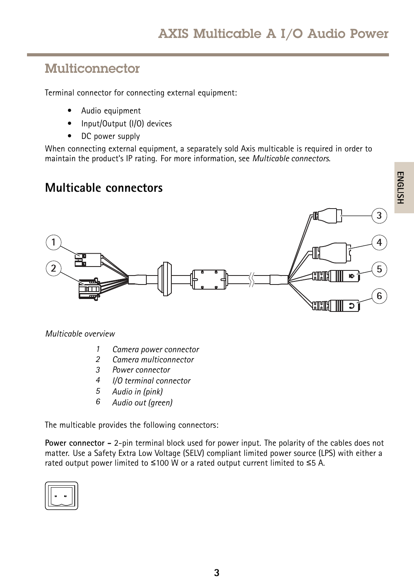### Multiconnector

Terminal connector for connecting external equipment:

- •Audio equipment
- •Input/Output (I/O) devices
- •DC power supply

When connecting external equipment, <sup>a</sup> separately sold Axis multicable is required in order to maintain the product's IP rating. For more information, see *Multicable connectors*.

### **Multicable connectors**



*Multicable overview*

- *1 Camera power connector*
- *2 Camera multiconnector*
- *3 Power connector*
- *4 I/O terminal connector*
- *<sup>5</sup> Audio in (pink)*
- *<sup>6</sup> Audio out (green)*

The multicable provides the following connectors:

**Power connector -** 2-pin terminal block used for power input. The polarity of the cables does not matter. Use <sup>a</sup> Safety Extra Low Voltage (SELV) compliant limited power source (LPS) with either <sup>a</sup> rated output power limited to <sup>≤</sup>100 W or <sup>a</sup> rated output current limited to <sup>≤</sup>5 A.

| $\blacksquare$<br>$\blacksquare$ |  |
|----------------------------------|--|
|                                  |  |
|                                  |  |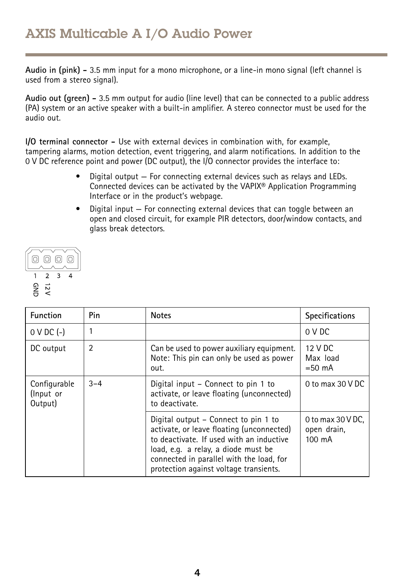**Audio in (pink) -** 3.5 mm input for <sup>a</sup> mono microphone, or <sup>a</sup> line-in mono signal (left channel is used from <sup>a</sup> stereo signal).

**Audio out (green) -** 3.5 mm output for audio (line level) that can be connected to <sup>a</sup> public address (PA) system or an active speaker with <sup>a</sup> built-in amplifier. A stereo connector must be used for the audio out.

**I/O terminal connector -** Use with external devices in combination with, for example, tampering alarms, motion detection, event triggering, and alarm notifications. In addition to the <sup>0</sup> V DC reference point and power (DC output), the I/O connector provides the interface to:

- • Digital output — For connecting external devices such as relays and LEDs. Connected devices can be activated by the VAPIX® Application Programming Interface or in the product's webpage.
- • Digital input — For connecting external devices that can toggle between an open and closed circuit, for example PIR detectors, door/window contacts, and glass break detectors.



| <b>Function</b>                      | Pin            | <b>Notes</b>                                                                                                                                                                                                                                               | <b>Specifications</b>                                  |
|--------------------------------------|----------------|------------------------------------------------------------------------------------------------------------------------------------------------------------------------------------------------------------------------------------------------------------|--------------------------------------------------------|
| $0 \vee DC$ (-)                      |                |                                                                                                                                                                                                                                                            | 0 V DC                                                 |
| DC output                            | $\overline{2}$ | Can be used to power auxiliary equipment.<br>Note: This pin can only be used as power<br>out.                                                                                                                                                              | 12 V DC<br>Max load<br>$=50$ mA                        |
| Configurable<br>(Input or<br>Output) | $3 - 4$        | Digital input – Connect to pin 1 to<br>activate, or leave floating (unconnected)<br>to deactivate.                                                                                                                                                         | 0 to max $30$ V DC                                     |
|                                      |                | Digital output – Connect to pin 1 to<br>activate, or leave floating (unconnected)<br>to deactivate. If used with an inductive<br>load, e.g. a relay, a diode must be<br>connected in parallel with the load, for<br>protection against voltage transients. | 0 to max $30$ V DC,<br>open drain,<br>$100 \text{ mA}$ |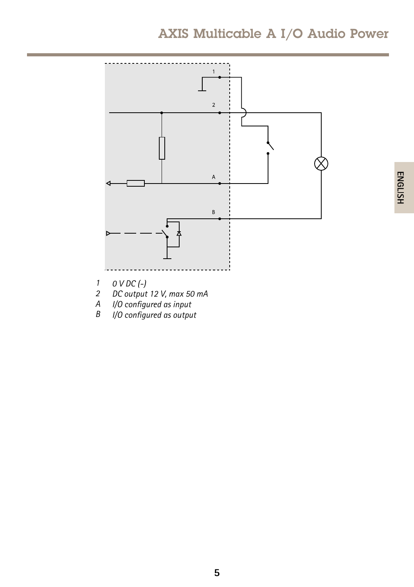## AXIS Multicable A I/O Audio Power



- *2 DC output 12 V, max 50 mA*
- *A I/O configured as input*
- *B I/O configured as output*